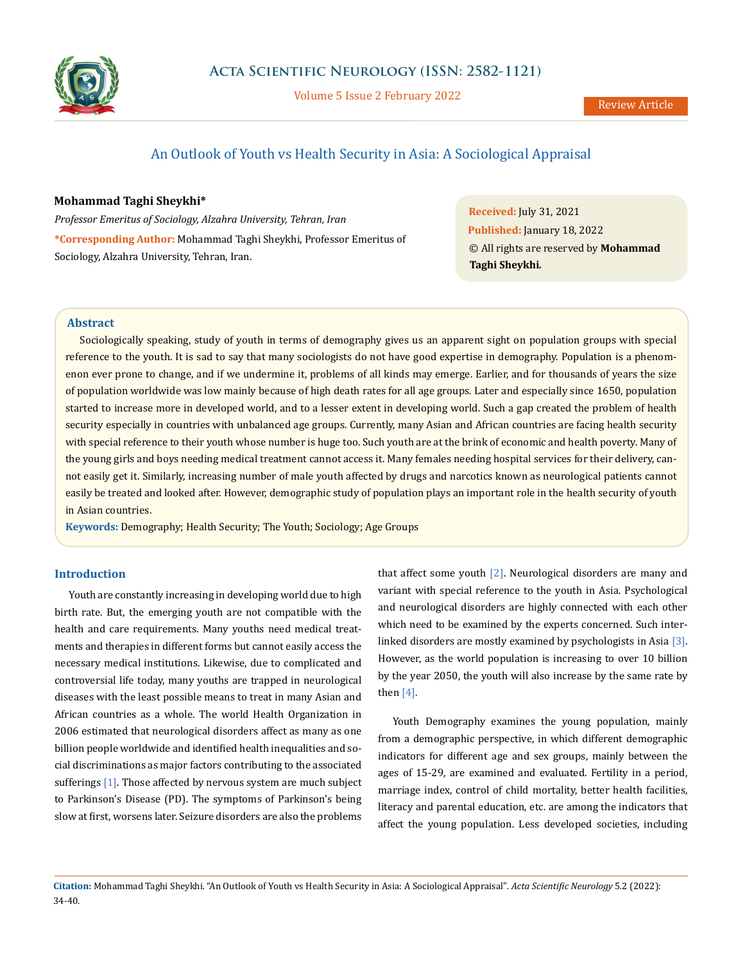

Volume 5 Issue 2 February 2022

# An Outlook of Youth vs Health Security in Asia: A Sociological Appraisal

### **Mohammad Taghi Sheykhi\***

*Professor Emeritus of Sociology, Alzahra University, Tehran, Iran* **\*Corresponding Author:** Mohammad Taghi Sheykhi, Professor Emeritus of Sociology, Alzahra University, Tehran, Iran.

**Received:** July 31, 2021 **Published:** January 18, 2022 © All rights are reserved by **Mohammad Taghi Sheykhi***.*

## **Abstract**

Sociologically speaking, study of youth in terms of demography gives us an apparent sight on population groups with special reference to the youth. It is sad to say that many sociologists do not have good expertise in demography. Population is a phenomenon ever prone to change, and if we undermine it, problems of all kinds may emerge. Earlier, and for thousands of years the size of population worldwide was low mainly because of high death rates for all age groups. Later and especially since 1650, population started to increase more in developed world, and to a lesser extent in developing world. Such a gap created the problem of health security especially in countries with unbalanced age groups. Currently, many Asian and African countries are facing health security with special reference to their youth whose number is huge too. Such youth are at the brink of economic and health poverty. Many of the young girls and boys needing medical treatment cannot access it. Many females needing hospital services for their delivery, cannot easily get it. Similarly, increasing number of male youth affected by drugs and narcotics known as neurological patients cannot easily be treated and looked after. However, demographic study of population plays an important role in the health security of youth in Asian countries.

**Keywords:** Demography; Health Security; The Youth; Sociology; Age Groups

# **Introduction**

Youth are constantly increasing in developing world due to high birth rate. But, the emerging youth are not compatible with the health and care requirements. Many youths need medical treatments and therapies in different forms but cannot easily access the necessary medical institutions. Likewise, due to complicated and controversial life today, many youths are trapped in neurological diseases with the least possible means to treat in many Asian and African countries as a whole. The world Health Organization in 2006 estimated that neurological disorders affect as many as one billion people worldwide and identified health inequalities and social discriminations as major factors contributing to the associated sufferings [1]. Those affected by nervous system are much subject to Parkinson's Disease (PD). The symptoms of Parkinson's being slow at first, worsens later. Seizure disorders are also the problems that affect some youth [2]. Neurological disorders are many and variant with special reference to the youth in Asia. Psychological and neurological disorders are highly connected with each other which need to be examined by the experts concerned. Such interlinked disorders are mostly examined by psychologists in Asia [3]. However, as the world population is increasing to over 10 billion by the year 2050, the youth will also increase by the same rate by then  $[4]$ .

Youth Demography examines the young population, mainly from a demographic perspective, in which different demographic indicators for different age and sex groups, mainly between the ages of 15-29, are examined and evaluated. Fertility in a period, marriage index, control of child mortality, better health facilities, literacy and parental education, etc. are among the indicators that affect the young population. Less developed societies, including

**Citation:** Mohammad Taghi Sheykhi*.* "An Outlook of Youth vs Health Security in Asia: A Sociological Appraisal". *Acta Scientific Neurology* 5.2 (2022): 34-40.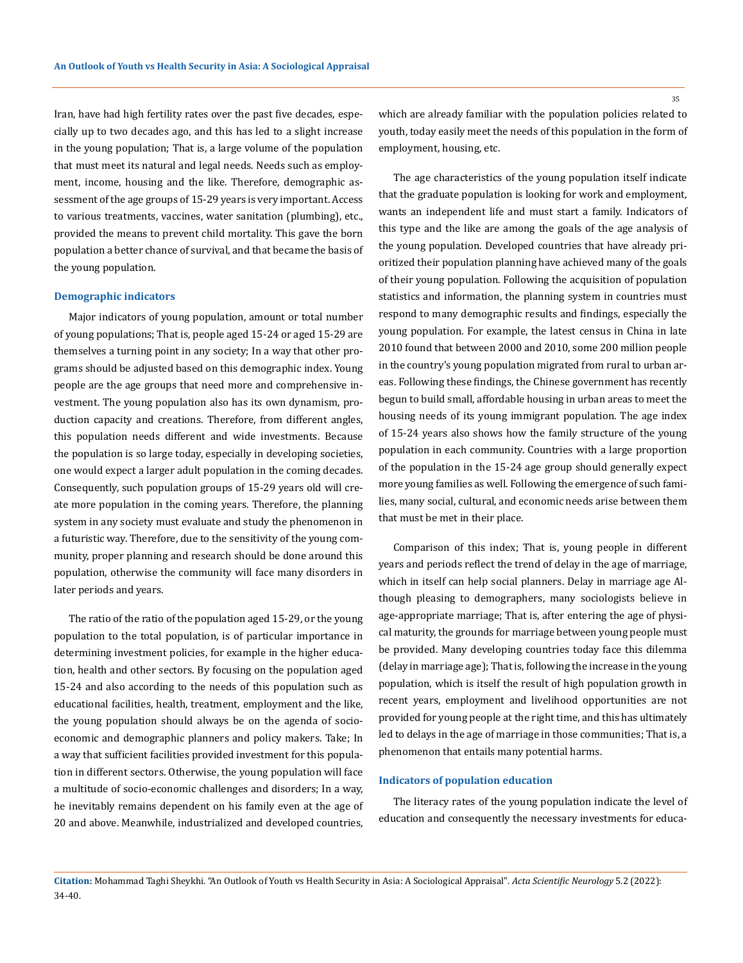Iran, have had high fertility rates over the past five decades, especially up to two decades ago, and this has led to a slight increase in the young population; That is, a large volume of the population that must meet its natural and legal needs. Needs such as employment, income, housing and the like. Therefore, demographic assessment of the age groups of 15-29 years is very important. Access to various treatments, vaccines, water sanitation (plumbing), etc., provided the means to prevent child mortality. This gave the born population a better chance of survival, and that became the basis of the young population.

#### **Demographic indicators**

Major indicators of young population, amount or total number of young populations; That is, people aged 15-24 or aged 15-29 are themselves a turning point in any society; In a way that other programs should be adjusted based on this demographic index. Young people are the age groups that need more and comprehensive investment. The young population also has its own dynamism, production capacity and creations. Therefore, from different angles, this population needs different and wide investments. Because the population is so large today, especially in developing societies, one would expect a larger adult population in the coming decades. Consequently, such population groups of 15-29 years old will create more population in the coming years. Therefore, the planning system in any society must evaluate and study the phenomenon in a futuristic way. Therefore, due to the sensitivity of the young community, proper planning and research should be done around this population, otherwise the community will face many disorders in later periods and years.

The ratio of the ratio of the population aged 15-29, or the young population to the total population, is of particular importance in determining investment policies, for example in the higher education, health and other sectors. By focusing on the population aged 15-24 and also according to the needs of this population such as educational facilities, health, treatment, employment and the like, the young population should always be on the agenda of socioeconomic and demographic planners and policy makers. Take; In a way that sufficient facilities provided investment for this population in different sectors. Otherwise, the young population will face a multitude of socio-economic challenges and disorders; In a way, he inevitably remains dependent on his family even at the age of 20 and above. Meanwhile, industrialized and developed countries,

35

which are already familiar with the population policies related to youth, today easily meet the needs of this population in the form of employment, housing, etc.

The age characteristics of the young population itself indicate that the graduate population is looking for work and employment, wants an independent life and must start a family. Indicators of this type and the like are among the goals of the age analysis of the young population. Developed countries that have already prioritized their population planning have achieved many of the goals of their young population. Following the acquisition of population statistics and information, the planning system in countries must respond to many demographic results and findings, especially the young population. For example, the latest census in China in late 2010 found that between 2000 and 2010, some 200 million people in the country's young population migrated from rural to urban areas. Following these findings, the Chinese government has recently begun to build small, affordable housing in urban areas to meet the housing needs of its young immigrant population. The age index of 15-24 years also shows how the family structure of the young population in each community. Countries with a large proportion of the population in the 15-24 age group should generally expect more young families as well. Following the emergence of such families, many social, cultural, and economic needs arise between them that must be met in their place.

Comparison of this index; That is, young people in different years and periods reflect the trend of delay in the age of marriage, which in itself can help social planners. Delay in marriage age Although pleasing to demographers, many sociologists believe in age-appropriate marriage; That is, after entering the age of physical maturity, the grounds for marriage between young people must be provided. Many developing countries today face this dilemma (delay in marriage age); That is, following the increase in the young population, which is itself the result of high population growth in recent years, employment and livelihood opportunities are not provided for young people at the right time, and this has ultimately led to delays in the age of marriage in those communities; That is, a phenomenon that entails many potential harms.

#### **Indicators of population education**

The literacy rates of the young population indicate the level of education and consequently the necessary investments for educa-

**Citation:** Mohammad Taghi Sheykhi*.* "An Outlook of Youth vs Health Security in Asia: A Sociological Appraisal". *Acta Scientific Neurology* 5.2 (2022): 34-40.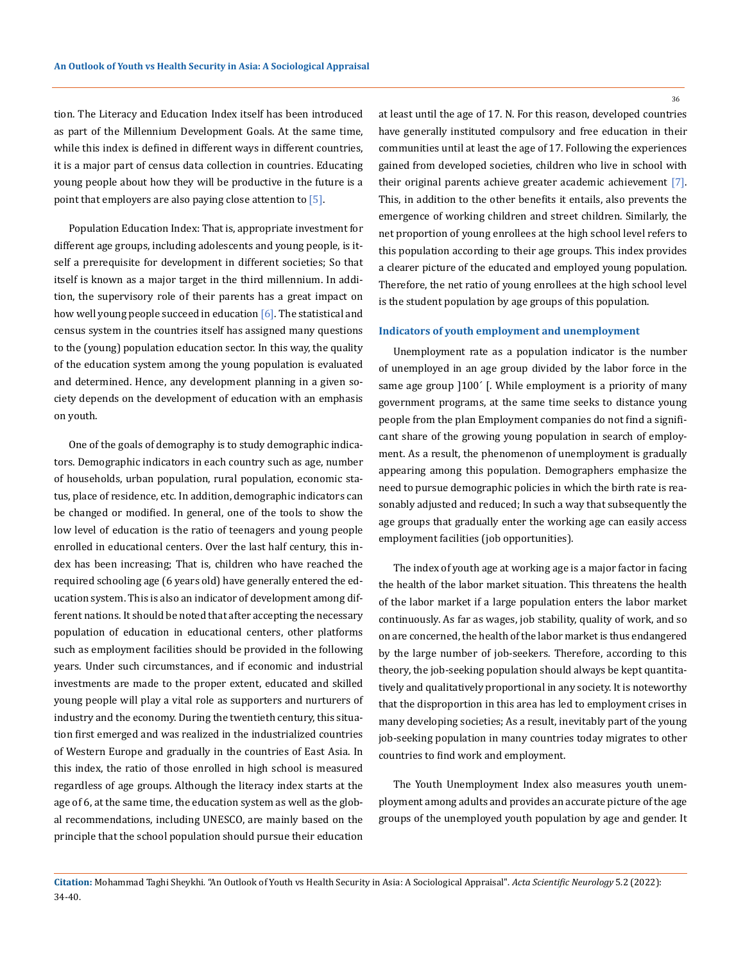tion. The Literacy and Education Index itself has been introduced as part of the Millennium Development Goals. At the same time, while this index is defined in different ways in different countries, it is a major part of census data collection in countries. Educating young people about how they will be productive in the future is a point that employers are also paying close attention to [5].

Population Education Index: That is, appropriate investment for different age groups, including adolescents and young people, is itself a prerequisite for development in different societies; So that itself is known as a major target in the third millennium. In addition, the supervisory role of their parents has a great impact on how well young people succeed in education [6]. The statistical and census system in the countries itself has assigned many questions to the (young) population education sector. In this way, the quality of the education system among the young population is evaluated and determined. Hence, any development planning in a given society depends on the development of education with an emphasis on youth.

One of the goals of demography is to study demographic indicators. Demographic indicators in each country such as age, number of households, urban population, rural population, economic status, place of residence, etc. In addition, demographic indicators can be changed or modified. In general, one of the tools to show the low level of education is the ratio of teenagers and young people enrolled in educational centers. Over the last half century, this index has been increasing; That is, children who have reached the required schooling age (6 years old) have generally entered the education system. This is also an indicator of development among different nations. It should be noted that after accepting the necessary population of education in educational centers, other platforms such as employment facilities should be provided in the following years. Under such circumstances, and if economic and industrial investments are made to the proper extent, educated and skilled young people will play a vital role as supporters and nurturers of industry and the economy. During the twentieth century, this situation first emerged and was realized in the industrialized countries of Western Europe and gradually in the countries of East Asia. In this index, the ratio of those enrolled in high school is measured regardless of age groups. Although the literacy index starts at the age of 6, at the same time, the education system as well as the global recommendations, including UNESCO, are mainly based on the principle that the school population should pursue their education

at least until the age of 17. N. For this reason, developed countries have generally instituted compulsory and free education in their communities until at least the age of 17. Following the experiences gained from developed societies, children who live in school with their original parents achieve greater academic achievement [7]. This, in addition to the other benefits it entails, also prevents the emergence of working children and street children. Similarly, the net proportion of young enrollees at the high school level refers to this population according to their age groups. This index provides a clearer picture of the educated and employed young population. Therefore, the net ratio of young enrollees at the high school level is the student population by age groups of this population.

#### **Indicators of youth employment and unemployment**

Unemployment rate as a population indicator is the number of unemployed in an age group divided by the labor force in the same age group  $]100'$  [. While employment is a priority of many government programs, at the same time seeks to distance young people from the plan Employment companies do not find a significant share of the growing young population in search of employment. As a result, the phenomenon of unemployment is gradually appearing among this population. Demographers emphasize the need to pursue demographic policies in which the birth rate is reasonably adjusted and reduced; In such a way that subsequently the age groups that gradually enter the working age can easily access employment facilities (job opportunities).

The index of youth age at working age is a major factor in facing the health of the labor market situation. This threatens the health of the labor market if a large population enters the labor market continuously. As far as wages, job stability, quality of work, and so on are concerned, the health of the labor market is thus endangered by the large number of job-seekers. Therefore, according to this theory, the job-seeking population should always be kept quantitatively and qualitatively proportional in any society. It is noteworthy that the disproportion in this area has led to employment crises in many developing societies; As a result, inevitably part of the young job-seeking population in many countries today migrates to other countries to find work and employment.

The Youth Unemployment Index also measures youth unemployment among adults and provides an accurate picture of the age groups of the unemployed youth population by age and gender. It

36

**Citation:** Mohammad Taghi Sheykhi*.* "An Outlook of Youth vs Health Security in Asia: A Sociological Appraisal". *Acta Scientific Neurology* 5.2 (2022): 34-40.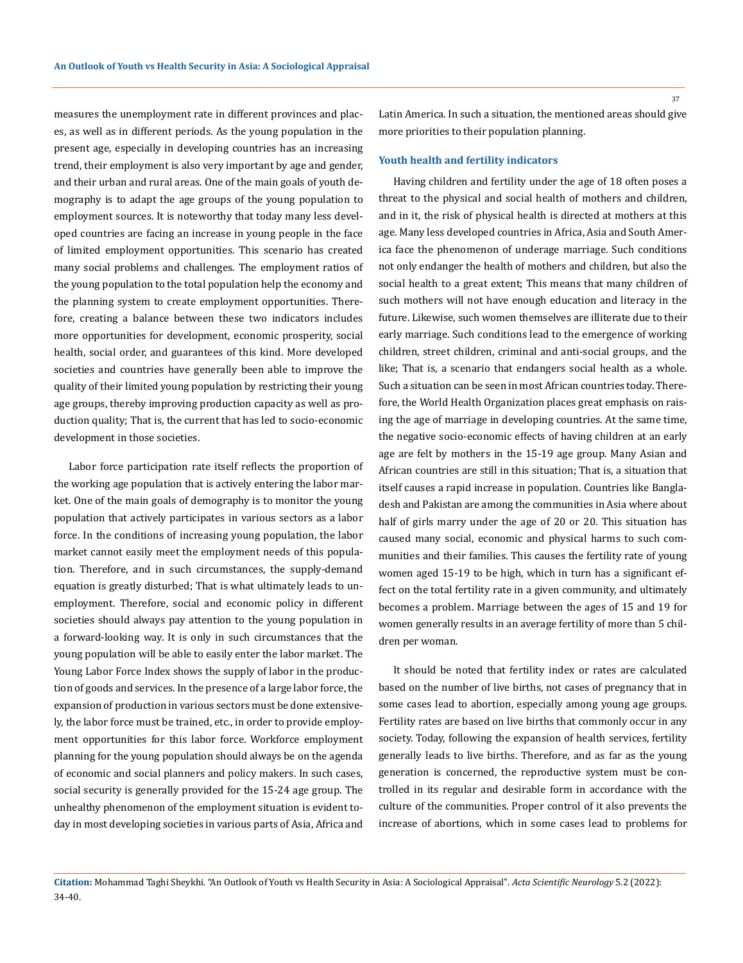measures the unemployment rate in different provinces and places, as well as in different periods. As the young population in the present age, especially in developing countries has an increasing trend, their employment is also very important by age and gender, and their urban and rural areas. One of the main goals of youth demography is to adapt the age groups of the young population to employment sources. It is noteworthy that today many less developed countries are facing an increase in young people in the face of limited employment opportunities. This scenario has created many social problems and challenges. The employment ratios of the young population to the total population help the economy and the planning system to create employment opportunities. Therefore, creating a balance between these two indicators includes more opportunities for development, economic prosperity, social health, social order, and guarantees of this kind. More developed societies and countries have generally been able to improve the quality of their limited young population by restricting their young age groups, thereby improving production capacity as well as production quality; That is, the current that has led to socio-economic development in those societies.

Labor force participation rate itself reflects the proportion of the working age population that is actively entering the labor market. One of the main goals of demography is to monitor the young population that actively participates in various sectors as a labor force. In the conditions of increasing young population, the labor market cannot easily meet the employment needs of this population. Therefore, and in such circumstances, the supply-demand equation is greatly disturbed; That is what ultimately leads to unemployment. Therefore, social and economic policy in different societies should always pay attention to the young population in a forward-looking way. It is only in such circumstances that the young population will be able to easily enter the labor market. The Young Labor Force Index shows the supply of labor in the production of goods and services. In the presence of a large labor force, the expansion of production in various sectors must be done extensively, the labor force must be trained, etc., in order to provide employment opportunities for this labor force. Workforce employment planning for the young population should always be on the agenda of economic and social planners and policy makers. In such cases, social security is generally provided for the 15-24 age group. The unhealthy phenomenon of the employment situation is evident today in most developing societies in various parts of Asia, Africa and

Latin America. In such a situation, the mentioned areas should give more priorities to their population planning.

#### **Youth health and fertility indicators**

Having children and fertility under the age of 18 often poses a threat to the physical and social health of mothers and children, and in it, the risk of physical health is directed at mothers at this age. Many less developed countries in Africa, Asia and South America face the phenomenon of underage marriage. Such conditions not only endanger the health of mothers and children, but also the social health to a great extent; This means that many children of such mothers will not have enough education and literacy in the future. Likewise, such women themselves are illiterate due to their early marriage. Such conditions lead to the emergence of working children, street children, criminal and anti-social groups, and the like; That is, a scenario that endangers social health as a whole. Such a situation can be seen in most African countries today. Therefore, the World Health Organization places great emphasis on raising the age of marriage in developing countries. At the same time, the negative socio-economic effects of having children at an early age are felt by mothers in the 15-19 age group. Many Asian and African countries are still in this situation; That is, a situation that itself causes a rapid increase in population. Countries like Bangladesh and Pakistan are among the communities in Asia where about half of girls marry under the age of 20 or 20. This situation has caused many social, economic and physical harms to such communities and their families. This causes the fertility rate of young women aged 15-19 to be high, which in turn has a significant effect on the total fertility rate in a given community, and ultimately becomes a problem. Marriage between the ages of 15 and 19 for women generally results in an average fertility of more than 5 children per woman.

It should be noted that fertility index or rates are calculated based on the number of live births, not cases of pregnancy that in some cases lead to abortion, especially among young age groups. Fertility rates are based on live births that commonly occur in any society. Today, following the expansion of health services, fertility generally leads to live births. Therefore, and as far as the young generation is concerned, the reproductive system must be controlled in its regular and desirable form in accordance with the culture of the communities. Proper control of it also prevents the increase of abortions, which in some cases lead to problems for

**Citation:** Mohammad Taghi Sheykhi*.* "An Outlook of Youth vs Health Security in Asia: A Sociological Appraisal". *Acta Scientific Neurology* 5.2 (2022): 34-40.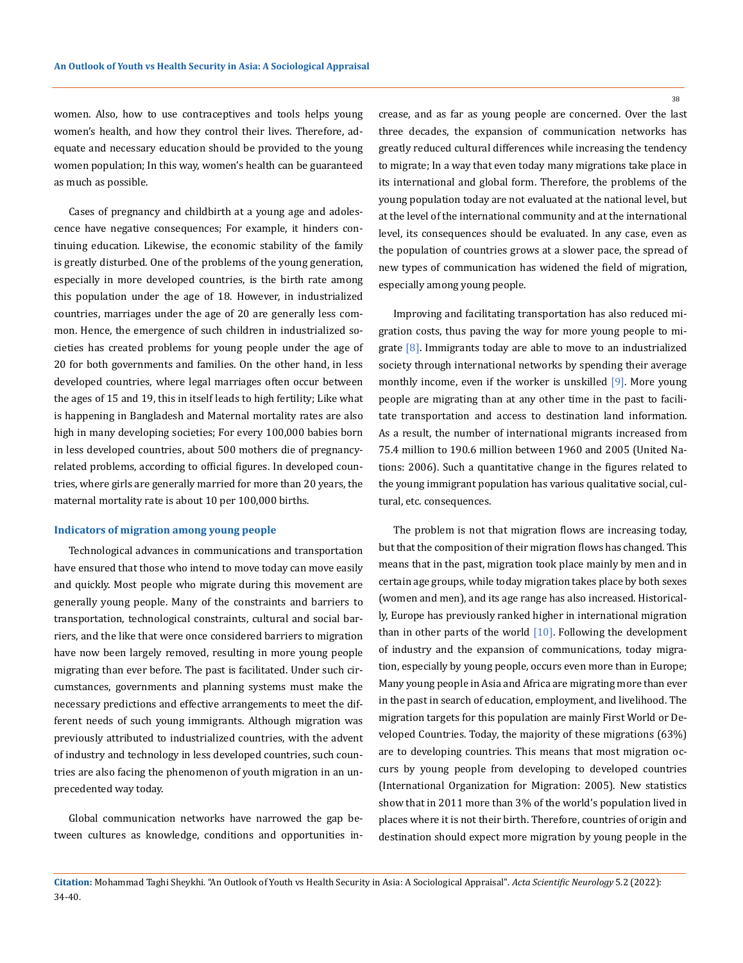women. Also, how to use contraceptives and tools helps young women's health, and how they control their lives. Therefore, adequate and necessary education should be provided to the young women population; In this way, women's health can be guaranteed as much as possible.

Cases of pregnancy and childbirth at a young age and adolescence have negative consequences; For example, it hinders continuing education. Likewise, the economic stability of the family is greatly disturbed. One of the problems of the young generation, especially in more developed countries, is the birth rate among this population under the age of 18. However, in industrialized countries, marriages under the age of 20 are generally less common. Hence, the emergence of such children in industrialized societies has created problems for young people under the age of 20 for both governments and families. On the other hand, in less developed countries, where legal marriages often occur between the ages of 15 and 19, this in itself leads to high fertility; Like what is happening in Bangladesh and Maternal mortality rates are also high in many developing societies; For every 100,000 babies born in less developed countries, about 500 mothers die of pregnancyrelated problems, according to official figures. In developed countries, where girls are generally married for more than 20 years, the maternal mortality rate is about 10 per 100,000 births.

#### **Indicators of migration among young people**

Technological advances in communications and transportation have ensured that those who intend to move today can move easily and quickly. Most people who migrate during this movement are generally young people. Many of the constraints and barriers to transportation, technological constraints, cultural and social barriers, and the like that were once considered barriers to migration have now been largely removed, resulting in more young people migrating than ever before. The past is facilitated. Under such circumstances, governments and planning systems must make the necessary predictions and effective arrangements to meet the different needs of such young immigrants. Although migration was previously attributed to industrialized countries, with the advent of industry and technology in less developed countries, such countries are also facing the phenomenon of youth migration in an unprecedented way today.

Global communication networks have narrowed the gap between cultures as knowledge, conditions and opportunities increase, and as far as young people are concerned. Over the last three decades, the expansion of communication networks has greatly reduced cultural differences while increasing the tendency to migrate; In a way that even today many migrations take place in its international and global form. Therefore, the problems of the young population today are not evaluated at the national level, but at the level of the international community and at the international level, its consequences should be evaluated. In any case, even as the population of countries grows at a slower pace, the spread of new types of communication has widened the field of migration, especially among young people.

Improving and facilitating transportation has also reduced migration costs, thus paving the way for more young people to migrate [8]. Immigrants today are able to move to an industrialized society through international networks by spending their average monthly income, even if the worker is unskilled [9]. More young people are migrating than at any other time in the past to facilitate transportation and access to destination land information. As a result, the number of international migrants increased from 75.4 million to 190.6 million between 1960 and 2005 (United Nations: 2006). Such a quantitative change in the figures related to the young immigrant population has various qualitative social, cultural, etc. consequences.

The problem is not that migration flows are increasing today, but that the composition of their migration flows has changed. This means that in the past, migration took place mainly by men and in certain age groups, while today migration takes place by both sexes (women and men), and its age range has also increased. Historically, Europe has previously ranked higher in international migration than in other parts of the world  $[10]$ . Following the development of industry and the expansion of communications, today migration, especially by young people, occurs even more than in Europe; Many young people in Asia and Africa are migrating more than ever in the past in search of education, employment, and livelihood. The migration targets for this population are mainly First World or Developed Countries. Today, the majority of these migrations (63%) are to developing countries. This means that most migration occurs by young people from developing to developed countries (International Organization for Migration: 2005). New statistics show that in 2011 more than 3% of the world's population lived in places where it is not their birth. Therefore, countries of origin and destination should expect more migration by young people in the

38

**Citation:** Mohammad Taghi Sheykhi*.* "An Outlook of Youth vs Health Security in Asia: A Sociological Appraisal". *Acta Scientific Neurology* 5.2 (2022): 34-40.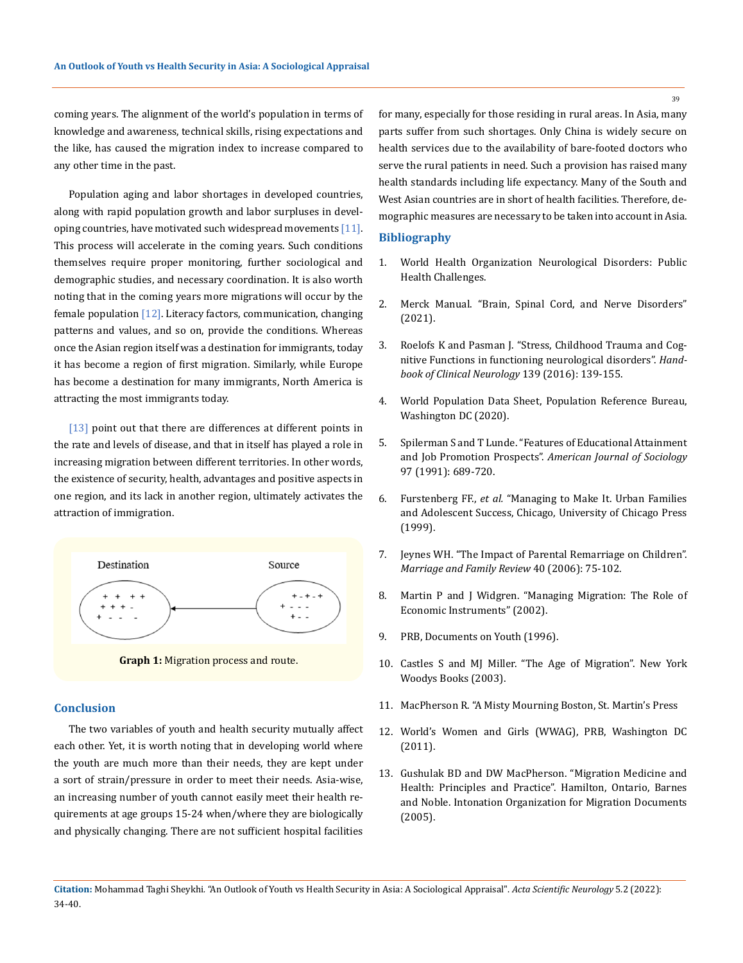coming years. The alignment of the world's population in terms of knowledge and awareness, technical skills, rising expectations and the like, has caused the migration index to increase compared to any other time in the past.

Population aging and labor shortages in developed countries, along with rapid population growth and labor surpluses in developing countries, have motivated such widespread movements  $[11]$ . This process will accelerate in the coming years. Such conditions themselves require proper monitoring, further sociological and demographic studies, and necessary coordination. It is also worth noting that in the coming years more migrations will occur by the female population [12]. Literacy factors, communication, changing patterns and values, and so on, provide the conditions. Whereas once the Asian region itself was a destination for immigrants, today it has become a region of first migration. Similarly, while Europe has become a destination for many immigrants, North America is attracting the most immigrants today.

[13] point out that there are differences at different points in the rate and levels of disease, and that in itself has played a role in increasing migration between different territories. In other words, the existence of security, health, advantages and positive aspects in one region, and its lack in another region, ultimately activates the attraction of immigration.



**Graph 1:** Migration process and route.

### **Conclusion**

The two variables of youth and health security mutually affect each other. Yet, it is worth noting that in developing world where the youth are much more than their needs, they are kept under a sort of strain/pressure in order to meet their needs. Asia-wise, an increasing number of youth cannot easily meet their health requirements at age groups 15-24 when/where they are biologically and physically changing. There are not sufficient hospital facilities

for many, especially for those residing in rural areas. In Asia, many parts suffer from such shortages. Only China is widely secure on health services due to the availability of bare-footed doctors who serve the rural patients in need. Such a provision has raised many health standards including life expectancy. Many of the South and West Asian countries are in short of health facilities. Therefore, demographic measures are necessary to be taken into account in Asia.

### **Bibliography**

- 1. [World Health Organization Neurological Disorders: Public](https://www.who.int/mental_health/neurology/neurological_disorders_report_web.pdf)  [Health Challenges.](https://www.who.int/mental_health/neurology/neurological_disorders_report_web.pdf)
- 2. [Merck Manual. "Brain, Spinal Cord, and Nerve Disorders"](https://www.msdmanuals.com/en-in/home/brain,-spinal-cord,-and-nerve-disorders)  [\(2021\).](https://www.msdmanuals.com/en-in/home/brain,-spinal-cord,-and-nerve-disorders)
- 3. [Roelofs K and Pasman J. "Stress, Childhood Trauma and Cog](https://pubmed.ncbi.nlm.nih.gov/27719835/)[nitive Functions in functioning neurological disorders".](https://pubmed.ncbi.nlm.nih.gov/27719835/) *Hand[book of Clinical Neurology](https://pubmed.ncbi.nlm.nih.gov/27719835/)* 139 (2016): 139-155.
- 4. [World Population Data Sheet, Population Reference Bureau,](https://www.prb.org/wp-content/uploads/2020/07/letter-booklet-2020-world-population.pdf)  [Washington DC \(2020\).](https://www.prb.org/wp-content/uploads/2020/07/letter-booklet-2020-world-population.pdf)
- 5. [Spilerman S and T Lunde. "Features of Educational Attainment](https://www.journals.uchicago.edu/doi/abs/10.1086/229817?journalCode=ajs)  and Job Promotion Prospects". *[American Journal of Sociology](https://www.journals.uchicago.edu/doi/abs/10.1086/229817?journalCode=ajs)* [97 \(1991\): 689-720.](https://www.journals.uchicago.edu/doi/abs/10.1086/229817?journalCode=ajs)
- 6. Furstenberg FF., *et al.* ["Managing to Make It. Urban Families](https://www.journals.uchicago.edu/doi/abs/10.1086/210459)  [and Adolescent Success, Chicago, University of Chicago Press](https://www.journals.uchicago.edu/doi/abs/10.1086/210459)  [\(1999\).](https://www.journals.uchicago.edu/doi/abs/10.1086/210459)
- 7. [Jeynes WH. "The Impact of Parental Remarriage on Children".](https://www.researchgate.net/publication/241747173_The_Impact_of_Parental_Remarriage_on_Children)  *[Marriage and Family Review](https://www.researchgate.net/publication/241747173_The_Impact_of_Parental_Remarriage_on_Children)* 40 (2006): 75-102.
- 8. [Martin P and J Widgren. "Managing Migration: The Role of](https://library.fes.de/libalt/journals/swetsfulltext/16725933.pdf)  [Economic Instruments" \(2002\).](https://library.fes.de/libalt/journals/swetsfulltext/16725933.pdf)
- 9. PRB, Documents on Youth (1996).
- 10. [Castles S and MJ Miller. "The Age of Migration". New York](https://www.researchgate.net/publication/263134302_The_Age_of_Migration_International_Population_Movements_in_the_Modern_World)  [Woodys Books \(2003\).](https://www.researchgate.net/publication/263134302_The_Age_of_Migration_International_Population_Movements_in_the_Modern_World)
- 11. [MacPherson R. "A Misty Mourning Boston, St. Martin's Press](https://us.macmillan.com/books/9781429977272/amistymourning)
- 12. [World's Women and Girls \(WWAG\), PRB, Washington DC](https://www.prb.org/wp-content/uploads/2011/03/world-women-girls-2011-data-sheet.pdf)  [\(2011\).](https://www.prb.org/wp-content/uploads/2011/03/world-women-girls-2011-data-sheet.pdf)
- 13. [Gushulak BD and DW MacPherson. "Migration Medicine and](https://books.google.co.in/books/about/Migration_Medicine_and_Health.html?id=Sb8lbHVQMJ8C&redir_esc=y)  [Health: Principles and Practice". Hamilton, Ontario, Barnes](https://books.google.co.in/books/about/Migration_Medicine_and_Health.html?id=Sb8lbHVQMJ8C&redir_esc=y)  [and Noble. Intonation Organization for Migration Documents](https://books.google.co.in/books/about/Migration_Medicine_and_Health.html?id=Sb8lbHVQMJ8C&redir_esc=y)  [\(2005\).](https://books.google.co.in/books/about/Migration_Medicine_and_Health.html?id=Sb8lbHVQMJ8C&redir_esc=y)

39

**Citation:** Mohammad Taghi Sheykhi*.* "An Outlook of Youth vs Health Security in Asia: A Sociological Appraisal". *Acta Scientific Neurology* 5.2 (2022): 34-40.